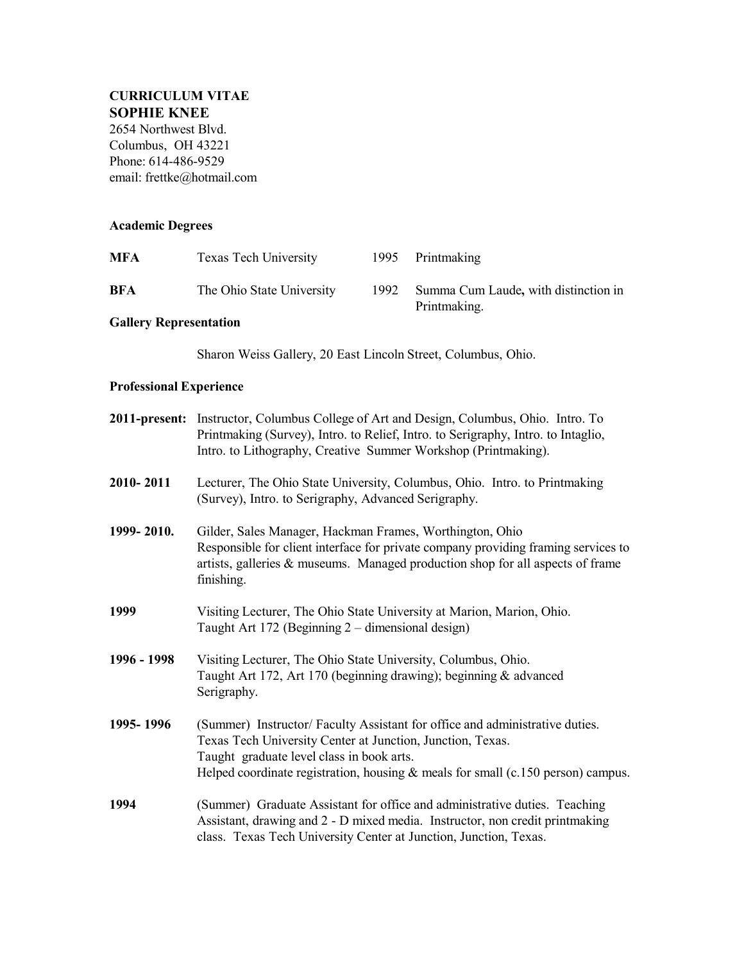## **CURRICULUM VITAE SOPHIE KNEE**

2654 Northwest Blvd. Columbus, OH 43221 Phone: 614-486-9529 email: frettke@hotmail.com

### **Academic Degrees**

| MFA                            | <b>Texas Tech University</b>                                                                                                                                                                                                                          | 1995 | Printmaking                                                                                                                                                       |
|--------------------------------|-------------------------------------------------------------------------------------------------------------------------------------------------------------------------------------------------------------------------------------------------------|------|-------------------------------------------------------------------------------------------------------------------------------------------------------------------|
| BFA                            | The Ohio State University                                                                                                                                                                                                                             | 1992 | Summa Cum Laude, with distinction in<br>Printmaking.                                                                                                              |
| <b>Gallery Representation</b>  |                                                                                                                                                                                                                                                       |      |                                                                                                                                                                   |
|                                | Sharon Weiss Gallery, 20 East Lincoln Street, Columbus, Ohio.                                                                                                                                                                                         |      |                                                                                                                                                                   |
| <b>Professional Experience</b> |                                                                                                                                                                                                                                                       |      |                                                                                                                                                                   |
|                                | <b>2011-present:</b> Instructor, Columbus College of Art and Design, Columbus, Ohio. Intro. To<br>Printmaking (Survey), Intro. to Relief, Intro. to Serigraphy, Intro. to Intaglio,<br>Intro. to Lithography, Creative Summer Workshop (Printmaking). |      |                                                                                                                                                                   |
| 2010-2011                      | Lecturer, The Ohio State University, Columbus, Ohio. Intro. to Printmaking<br>(Survey), Intro. to Serigraphy, Advanced Serigraphy.                                                                                                                    |      |                                                                                                                                                                   |
| 1999-2010.                     | Gilder, Sales Manager, Hackman Frames, Worthington, Ohio<br>Responsible for client interface for private company providing framing services to<br>artists, galleries & museums. Managed production shop for all aspects of frame<br>finishing.        |      |                                                                                                                                                                   |
| 1999                           | Visiting Lecturer, The Ohio State University at Marion, Marion, Ohio.<br>Taught Art 172 (Beginning 2 – dimensional design)                                                                                                                            |      |                                                                                                                                                                   |
| 1996 - 1998                    | Visiting Lecturer, The Ohio State University, Columbus, Ohio.<br>Taught Art 172, Art 170 (beginning drawing); beginning & advanced<br>Serigraphy.                                                                                                     |      |                                                                                                                                                                   |
| 1995-1996                      | Texas Tech University Center at Junction, Junction, Texas.<br>Taught graduate level class in book arts.                                                                                                                                               |      | (Summer) Instructor/Faculty Assistant for office and administrative duties.<br>Helped coordinate registration, housing $&$ meals for small (c.150 person) campus. |
| 1994                           | class. Texas Tech University Center at Junction, Junction, Texas.                                                                                                                                                                                     |      | (Summer) Graduate Assistant for office and administrative duties. Teaching<br>Assistant, drawing and 2 - D mixed media. Instructor, non credit printmaking        |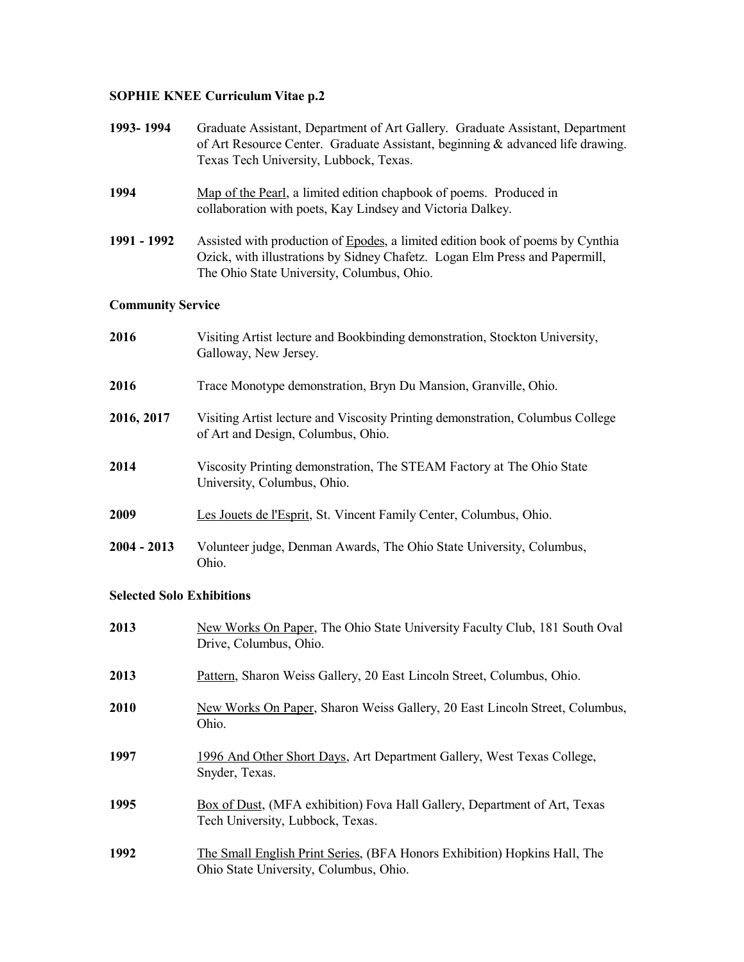#### **SOPHIE KNEE Curriculum Vitae p.2**

| 1993-1994                        | Graduate Assistant, Department of Art Gallery. Graduate Assistant, Department<br>of Art Resource Center. Graduate Assistant, beginning & advanced life drawing.<br>Texas Tech University, Lubbock, Texas.   |  |
|----------------------------------|-------------------------------------------------------------------------------------------------------------------------------------------------------------------------------------------------------------|--|
| 1994                             | Map of the Pearl, a limited edition chapbook of poems. Produced in<br>collaboration with poets, Kay Lindsey and Victoria Dalkey.                                                                            |  |
| 1991 - 1992                      | Assisted with production of Epodes, a limited edition book of poems by Cynthia<br>Ozick, with illustrations by Sidney Chafetz. Logan Elm Press and Papermill,<br>The Ohio State University, Columbus, Ohio. |  |
| <b>Community Service</b>         |                                                                                                                                                                                                             |  |
| 2016                             | Visiting Artist lecture and Bookbinding demonstration, Stockton University,<br>Galloway, New Jersey.                                                                                                        |  |
| 2016                             | Trace Monotype demonstration, Bryn Du Mansion, Granville, Ohio.                                                                                                                                             |  |
| 2016, 2017                       | Visiting Artist lecture and Viscosity Printing demonstration, Columbus College<br>of Art and Design, Columbus, Ohio.                                                                                        |  |
| 2014                             | Viscosity Printing demonstration, The STEAM Factory at The Ohio State<br>University, Columbus, Ohio.                                                                                                        |  |
| 2009                             | Les Jouets de l'Esprit, St. Vincent Family Center, Columbus, Ohio.                                                                                                                                          |  |
| $2004 - 2013$                    | Volunteer judge, Denman Awards, The Ohio State University, Columbus,<br>Ohio.                                                                                                                               |  |
| <b>Selected Solo Exhibitions</b> |                                                                                                                                                                                                             |  |

# **2013** New Works On Paper, The Ohio State University Faculty Club, 181 South Oval Drive, Columbus, Ohio. **2013** Pattern, Sharon Weiss Gallery, 20 East Lincoln Street, Columbus, Ohio. **2010** New Works On Paper, Sharon Weiss Gallery, 20 East Lincoln Street, Columbus, Ohio. **1997** 1996 And Other Short Days, Art Department Gallery, West Texas College, Snyder, Texas. **1995** Box of Dust, (MFA exhibition) Fova Hall Gallery, Department of Art, Texas Tech University, Lubbock, Texas. **1992** The Small English Print Series, (BFA Honors Exhibition) Hopkins Hall, The Ohio State University, Columbus, Ohio.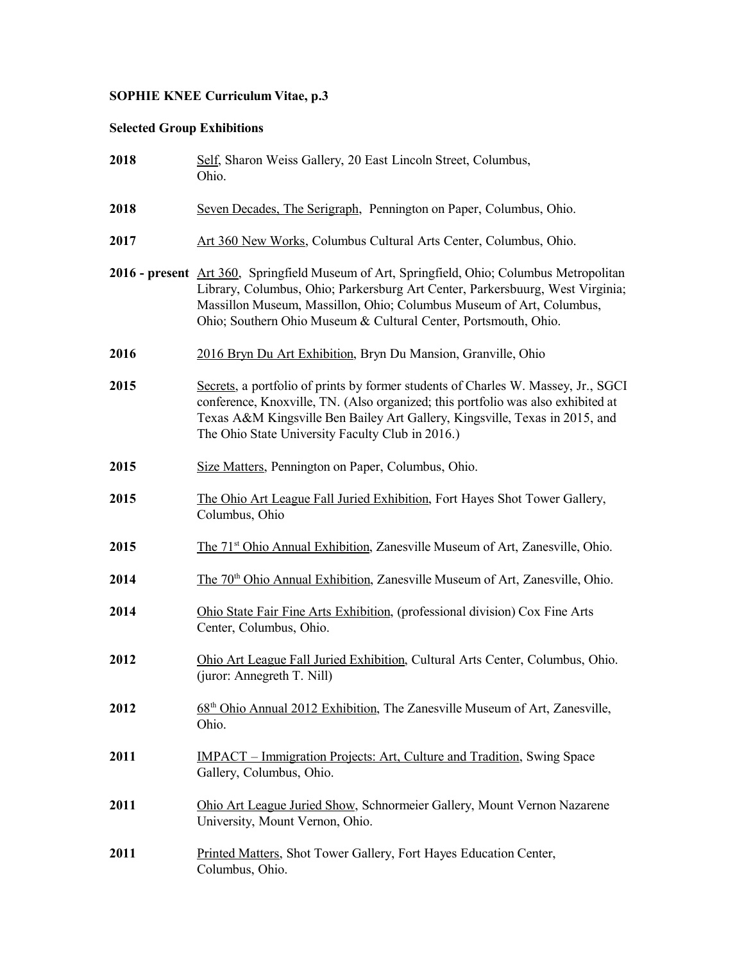# **SOPHIE KNEE Curriculum Vitae, p.3**

### **Selected Group Exhibitions**

| 2018 | Self, Sharon Weiss Gallery, 20 East Lincoln Street, Columbus,<br>Ohio.                                                                                                                                                                                                                                                  |
|------|-------------------------------------------------------------------------------------------------------------------------------------------------------------------------------------------------------------------------------------------------------------------------------------------------------------------------|
| 2018 | Seven Decades, The Serigraph, Pennington on Paper, Columbus, Ohio.                                                                                                                                                                                                                                                      |
| 2017 | Art 360 New Works, Columbus Cultural Arts Center, Columbus, Ohio.                                                                                                                                                                                                                                                       |
|      | 2016 - present Art 360, Springfield Museum of Art, Springfield, Ohio; Columbus Metropolitan<br>Library, Columbus, Ohio; Parkersburg Art Center, Parkersbuurg, West Virginia;<br>Massillon Museum, Massillon, Ohio; Columbus Museum of Art, Columbus,<br>Ohio; Southern Ohio Museum & Cultural Center, Portsmouth, Ohio. |
| 2016 | 2016 Bryn Du Art Exhibition, Bryn Du Mansion, Granville, Ohio                                                                                                                                                                                                                                                           |
| 2015 | Secrets, a portfolio of prints by former students of Charles W. Massey, Jr., SGCI<br>conference, Knoxville, TN. (Also organized; this portfolio was also exhibited at<br>Texas A&M Kingsville Ben Bailey Art Gallery, Kingsville, Texas in 2015, and<br>The Ohio State University Faculty Club in 2016.)                |
| 2015 | Size Matters, Pennington on Paper, Columbus, Ohio.                                                                                                                                                                                                                                                                      |
| 2015 | The Ohio Art League Fall Juried Exhibition, Fort Hayes Shot Tower Gallery,<br>Columbus, Ohio                                                                                                                                                                                                                            |
| 2015 | The 71 <sup>st</sup> Ohio Annual Exhibition, Zanesville Museum of Art, Zanesville, Ohio.                                                                                                                                                                                                                                |
| 2014 | The 70 <sup>th</sup> Ohio Annual Exhibition, Zanesville Museum of Art, Zanesville, Ohio.                                                                                                                                                                                                                                |
| 2014 | Ohio State Fair Fine Arts Exhibition, (professional division) Cox Fine Arts<br>Center, Columbus, Ohio.                                                                                                                                                                                                                  |
| 2012 | Ohio Art League Fall Juried Exhibition, Cultural Arts Center, Columbus, Ohio.<br>(juror: Annegreth T. Nill)                                                                                                                                                                                                             |
| 2012 | 68 <sup>th</sup> Ohio Annual 2012 Exhibition, The Zanesville Museum of Art, Zanesville,<br>Ohio.                                                                                                                                                                                                                        |
| 2011 | <u> IMPACT – Immigration Projects: Art, Culture and Tradition, Swing Space</u><br>Gallery, Columbus, Ohio.                                                                                                                                                                                                              |
| 2011 | Ohio Art League Juried Show, Schnormeier Gallery, Mount Vernon Nazarene<br>University, Mount Vernon, Ohio.                                                                                                                                                                                                              |
| 2011 | Printed Matters, Shot Tower Gallery, Fort Hayes Education Center,<br>Columbus, Ohio.                                                                                                                                                                                                                                    |